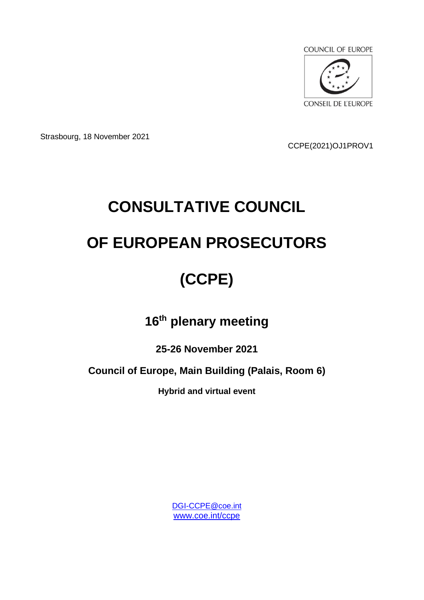

Strasbourg, 18 November 2021

CCPE(2021)OJ1PROV1

# **CONSULTATIVE COUNCIL OF EUROPEAN PROSECUTORS**

## **(CCPE)**

### **16th plenary meeting**

**25-26 November 2021**

**Council of Europe, Main Building (Palais, Room 6)**

**Hybrid and virtual event**

[DGI-CCPE@coe.int](mailto:DGI-CCPE@coe.int) [www.coe.int/ccpe](http://www.coe.int/ccpe)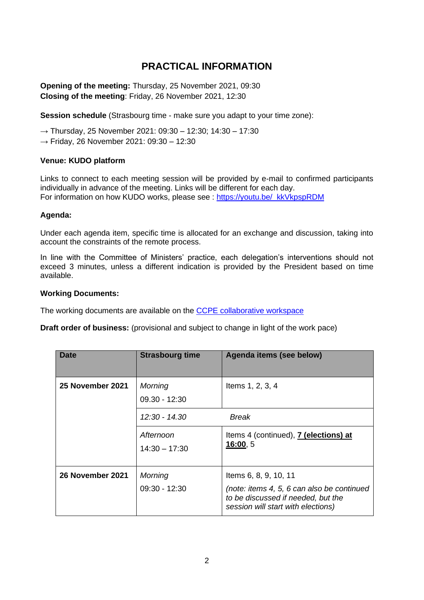#### **PRACTICAL INFORMATION**

**Opening of the meeting:** Thursday, 25 November 2021, 09:30 **Closing of the meeting**: Friday, 26 November 2021, 12:30

**Session schedule** (Strasbourg time - make sure you adapt to your time zone):

 $\rightarrow$  Thursday, 25 November 2021: 09:30 – 12:30; 14:30 – 17:30

 $→$  Friday, 26 November 2021: 09:30 - 12:30

#### **Venue: KUDO platform**

Links to connect to each meeting session will be provided by e-mail to confirmed participants individually in advance of the meeting. Links will be different for each day. For information on how KUDO works, please see : [https://youtu.be/\\_kkVkpspRDM](https://youtu.be/_kkVkpspRDM)

#### **Agenda:**

Under each agenda item, specific time is allocated for an exchange and discussion, taking into account the constraints of the remote process.

In line with the Committee of Ministers' practice, each delegation's interventions should not exceed 3 minutes, unless a different indication is provided by the President based on time available.

#### **Working Documents:**

The working documents are available on the [CCPE collaborative workspace](https://www.coe.int/en/web/ccpe/restricted-website)

**Draft order of business:** (provisional and subject to change in light of the work pace)

| <b>Date</b>      | <b>Strasbourg time</b>            | Agenda items (see below)                                                                                                                        |
|------------------|-----------------------------------|-------------------------------------------------------------------------------------------------------------------------------------------------|
| 25 November 2021 | <b>Morning</b><br>$09.30 - 12:30$ | Items 1, 2, 3, 4                                                                                                                                |
|                  | 12:30 - 14.30                     | <b>Break</b>                                                                                                                                    |
|                  | Afternoon<br>$14:30 - 17:30$      | Items 4 (continued), 7 (elections) at<br>16:00, 5                                                                                               |
| 26 November 2021 | Morning<br>09:30 - 12:30          | Items 6, 8, 9, 10, 11<br>(note: items 4, 5, 6 can also be continued<br>to be discussed if needed, but the<br>session will start with elections) |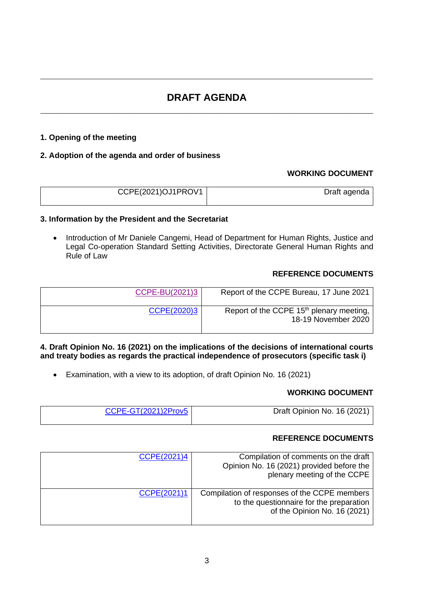#### **DRAFT AGENDA \_\_\_\_\_\_\_\_\_\_\_\_\_\_\_\_\_\_\_\_\_\_\_\_\_\_\_\_\_\_\_\_\_\_\_\_\_\_\_\_\_\_\_\_\_\_\_\_\_\_\_\_\_\_\_\_\_\_\_\_**

**\_\_\_\_\_\_\_\_\_\_\_\_\_\_\_\_\_\_\_\_\_\_\_\_\_\_\_\_\_\_\_\_\_\_\_\_\_\_\_\_\_\_\_\_\_\_\_\_\_\_\_\_\_\_\_\_\_\_\_\_**

#### **1. Opening of the meeting**

#### **2. Adoption of the agenda and order of business**

#### **WORKING DOCUMENT**

| CCPE(2021)OJ1PROV1 | Draft agenda |
|--------------------|--------------|
|                    |              |

#### **3. Information by the President and the Secretariat**

• Introduction of Mr Daniele Cangemi, Head of Department for Human Rights, Justice and Legal Co-operation Standard Setting Activities, Directorate General Human Rights and Rule of Law

#### **REFERENCE DOCUMENTS**

| Report of the CCPE Bureau, 17 June 2021                                     | CCPE-BU(2021)3 |
|-----------------------------------------------------------------------------|----------------|
| Report of the CCPE 15 <sup>th</sup> plenary meeting,<br>18-19 November 2020 | CCPE(2020)3    |

#### **4. Draft Opinion No. 16 (2021) on the implications of the decisions of international courts and treaty bodies as regards the practical independence of prosecutors (specific task i)**

• Examination, with a view to its adoption, of draft Opinion No. 16 (2021)

#### **WORKING DOCUMENT**

| CCPE-GT(2021)2Prov5 | Draft Opinion No. 16 (2021) |
|---------------------|-----------------------------|
|                     |                             |

#### **REFERENCE DOCUMENTS**

| CCPE(2021)4 | Compilation of comments on the draft<br>Opinion No. 16 (2021) provided before the<br>plenary meeting of the CCPE         |
|-------------|--------------------------------------------------------------------------------------------------------------------------|
| CCPE(2021)1 | Compilation of responses of the CCPE members<br>to the questionnaire for the preparation<br>of the Opinion No. 16 (2021) |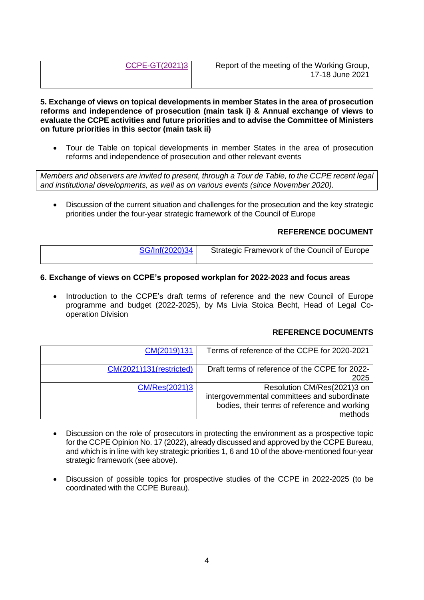| CCPE-GT(2021)3 |  |  |
|----------------|--|--|
|                |  |  |
|                |  |  |

**5. Exchange of views on topical developments in member States in the area of prosecution reforms and independence of prosecution (main task i) & Annual exchange of views to evaluate the CCPE activities and future priorities and to advise the Committee of Ministers on future priorities in this sector (main task ii)**

• Tour de Table on topical developments in member States in the area of prosecution reforms and independence of prosecution and other relevant events

*Members and observers are invited to present, through a Tour de Table, to the CCPE recent legal and institutional developments, as well as on various events (since November 2020).*

• Discussion of the current situation and challenges for the prosecution and the key strategic priorities under the four-year strategic framework of the Council of Europe

#### **REFERENCE DOCUMENT**

| SG/Inf(2020)34 | Strategic Framework of the Council of Europe |
|----------------|----------------------------------------------|
|                |                                              |

#### **6. Exchange of views on CCPE's proposed workplan for 2022-2023 and focus areas**

Introduction to the CCPE's draft terms of reference and the new Council of Europe programme and budget (2022-2025), by Ms Livia Stoica Becht, Head of Legal Cooperation Division

#### **REFERENCE DOCUMENTS**

| CM(2019)131             | Terms of reference of the CCPE for 2020-2021   |
|-------------------------|------------------------------------------------|
|                         |                                                |
| CM(2021)131(restricted) | Draft terms of reference of the CCPE for 2022- |
|                         | 2025                                           |
| CM/Res(2021)3           | Resolution CM/Res(2021)3 on                    |
|                         | intergovernmental committees and subordinate   |
|                         | bodies, their terms of reference and working   |
|                         | methods                                        |

- Discussion on the role of prosecutors in protecting the environment as a prospective topic for the CCPE Opinion No. 17 (2022), already discussed and approved by the CCPE Bureau, and which is in line with key strategic priorities 1, 6 and 10 of the above-mentioned four-year strategic framework (see above).
- Discussion of possible topics for prospective studies of the CCPE in 2022-2025 (to be coordinated with the CCPE Bureau).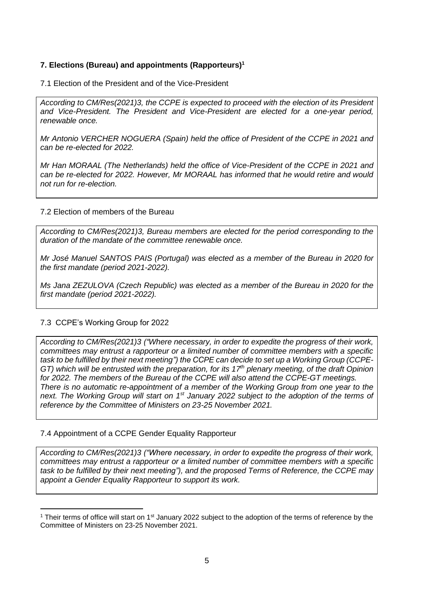#### **7. Elections (Bureau) and appointments (Rapporteurs)<sup>1</sup>**

7.1 Election of the President and of the Vice-President

*According to CM/Res(2021)3, the CCPE is expected to proceed with the election of its President and Vice-President. The President and Vice-President are elected for a one-year period, renewable once.*

*Mr Antonio VERCHER NOGUERA (Spain) held the office of President of the CCPE in 2021 and can be re-elected for 2022.*

*Mr Han MORAAL (The Netherlands) held the office of Vice-President of the CCPE in 2021 and can be re-elected for 2022. However, Mr MORAAL has informed that he would retire and would not run for re-election.* 

#### 7.2 Election of members of the Bureau

*According to CM/Res(2021)3, Bureau members are elected for the period corresponding to the duration of the mandate of the committee renewable once.* 

*Mr José Manuel SANTOS PAIS (Portugal) was elected as a member of the Bureau in 2020 for the first mandate (period 2021-2022).* 

*Ms Jana ZEZULOVA (Czech Republic) was elected as a member of the Bureau in 2020 for the first mandate (period 2021-2022).* 

#### 7.3 CCPE's Working Group for 2022

*According to CM/Res(2021)3 ("Where necessary, in order to expedite the progress of their work, committees may entrust a rapporteur or a limited number of committee members with a specific task to be fulfilled by their next meeting") the CCPE can decide to set up a Working Group (CCPE-GT) which will be entrusted with the preparation, for its 17th plenary meeting, of the draft Opinion for 2022. The members of the Bureau of the CCPE will also attend the CCPE-GT meetings. There is no automatic re-appointment of a member of the Working Group from one year to the next. The Working Group will start on 1st January 2022 subject to the adoption of the terms of reference by the Committee of Ministers on 23-25 November 2021.*

#### 7.4 Appointment of a CCPE Gender Equality Rapporteur

*According to CM/Res(2021)3 ("Where necessary, in order to expedite the progress of their work, committees may entrust a rapporteur or a limited number of committee members with a specific task to be fulfilled by their next meeting"), and the proposed Terms of Reference, the CCPE may appoint a Gender Equality Rapporteur to support its work.* 

<sup>&</sup>lt;sup>1</sup> Their terms of office will start on 1<sup>st</sup> January 2022 subject to the adoption of the terms of reference by the Committee of Ministers on 23-25 November 2021.